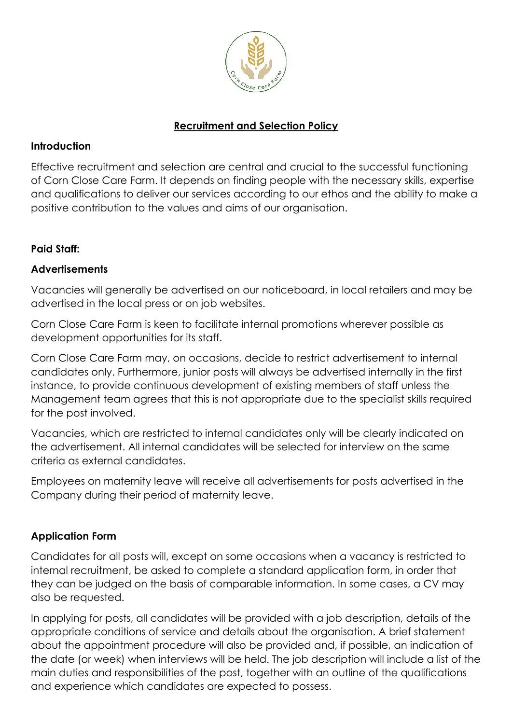

### **Recruitment and Selection Policy**

### **Introduction**

Effective recruitment and selection are central and crucial to the successful functioning of Corn Close Care Farm. It depends on finding people with the necessary skills, expertise and qualifications to deliver our services according to our ethos and the ability to make a positive contribution to the values and aims of our organisation.

# **Paid Staff:**

# **Advertisements**

Vacancies will generally be advertised on our noticeboard, in local retailers and may be advertised in the local press or on job websites.

Corn Close Care Farm is keen to facilitate internal promotions wherever possible as development opportunities for its staff.

Corn Close Care Farm may, on occasions, decide to restrict advertisement to internal candidates only. Furthermore, junior posts will always be advertised internally in the first instance, to provide continuous development of existing members of staff unless the Management team agrees that this is not appropriate due to the specialist skills required for the post involved.

Vacancies, which are restricted to internal candidates only will be clearly indicated on the advertisement. All internal candidates will be selected for interview on the same criteria as external candidates.

Employees on maternity leave will receive all advertisements for posts advertised in the Company during their period of maternity leave.

# **Application Form**

Candidates for all posts will, except on some occasions when a vacancy is restricted to internal recruitment, be asked to complete a standard application form, in order that they can be judged on the basis of comparable information. In some cases, a CV may also be requested.

In applying for posts, all candidates will be provided with a job description, details of the appropriate conditions of service and details about the organisation. A brief statement about the appointment procedure will also be provided and, if possible, an indication of the date (or week) when interviews will be held. The job description will include a list of the main duties and responsibilities of the post, together with an outline of the qualifications and experience which candidates are expected to possess.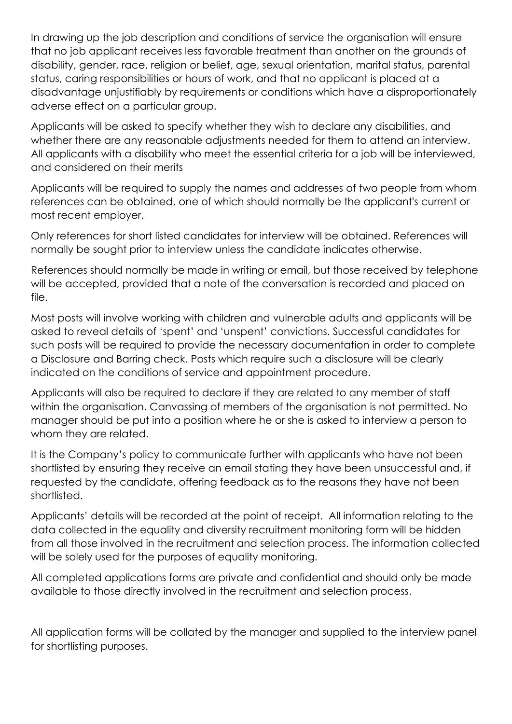In drawing up the job description and conditions of service the organisation will ensure that no job applicant receives less favorable treatment than another on the grounds of disability, gender, race, religion or belief, age, sexual orientation, marital status, parental status, caring responsibilities or hours of work, and that no applicant is placed at a disadvantage unjustifiably by requirements or conditions which have a disproportionately adverse effect on a particular group.

Applicants will be asked to specify whether they wish to declare any disabilities, and whether there are any reasonable adjustments needed for them to attend an interview. All applicants with a disability who meet the essential criteria for a job will be interviewed, and considered on their merits

Applicants will be required to supply the names and addresses of two people from whom references can be obtained, one of which should normally be the applicant's current or most recent employer.

Only references for short listed candidates for interview will be obtained. References will normally be sought prior to interview unless the candidate indicates otherwise.

References should normally be made in writing or email, but those received by telephone will be accepted, provided that a note of the conversation is recorded and placed on file.

Most posts will involve working with children and vulnerable adults and applicants will be asked to reveal details of 'spent' and 'unspent' convictions. Successful candidates for such posts will be required to provide the necessary documentation in order to complete a Disclosure and Barring check. Posts which require such a disclosure will be clearly indicated on the conditions of service and appointment procedure.

Applicants will also be required to declare if they are related to any member of staff within the organisation. Canvassing of members of the organisation is not permitted. No manager should be put into a position where he or she is asked to interview a person to whom they are related.

It is the Company's policy to communicate further with applicants who have not been shortlisted by ensuring they receive an email stating they have been unsuccessful and, if requested by the candidate, offering feedback as to the reasons they have not been shortlisted.

Applicants' details will be recorded at the point of receipt. All information relating to the data collected in the equality and diversity recruitment monitoring form will be hidden from all those involved in the recruitment and selection process. The information collected will be solely used for the purposes of equality monitoring.

All completed applications forms are private and confidential and should only be made available to those directly involved in the recruitment and selection process.

All application forms will be collated by the manager and supplied to the interview panel for shortlisting purposes.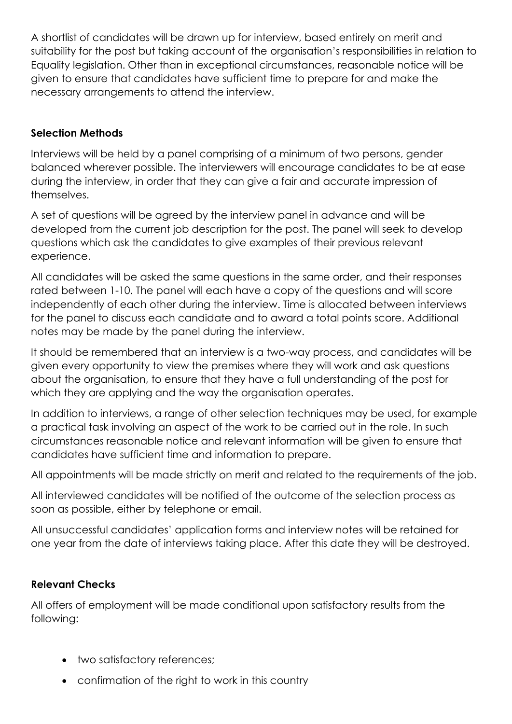A shortlist of candidates will be drawn up for interview, based entirely on merit and suitability for the post but taking account of the organisation's responsibilities in relation to Equality legislation. Other than in exceptional circumstances, reasonable notice will be given to ensure that candidates have sufficient time to prepare for and make the necessary arrangements to attend the interview.

### **Selection Methods**

Interviews will be held by a panel comprising of a minimum of two persons, gender balanced wherever possible. The interviewers will encourage candidates to be at ease during the interview, in order that they can give a fair and accurate impression of themselves.

A set of questions will be agreed by the interview panel in advance and will be developed from the current job description for the post. The panel will seek to develop questions which ask the candidates to give examples of their previous relevant experience.

All candidates will be asked the same questions in the same order, and their responses rated between 1-10. The panel will each have a copy of the questions and will score independently of each other during the interview. Time is allocated between interviews for the panel to discuss each candidate and to award a total points score. Additional notes may be made by the panel during the interview.

It should be remembered that an interview is a two-way process, and candidates will be given every opportunity to view the premises where they will work and ask questions about the organisation, to ensure that they have a full understanding of the post for which they are applying and the way the organisation operates.

In addition to interviews, a range of other selection techniques may be used, for example a practical task involving an aspect of the work to be carried out in the role. In such circumstances reasonable notice and relevant information will be given to ensure that candidates have sufficient time and information to prepare.

All appointments will be made strictly on merit and related to the requirements of the job.

All interviewed candidates will be notified of the outcome of the selection process as soon as possible, either by telephone or email.

All unsuccessful candidates' application forms and interview notes will be retained for one year from the date of interviews taking place. After this date they will be destroyed.

# **Relevant Checks**

All offers of employment will be made conditional upon satisfactory results from the following:

- two satisfactory references;
- confirmation of the right to work in this country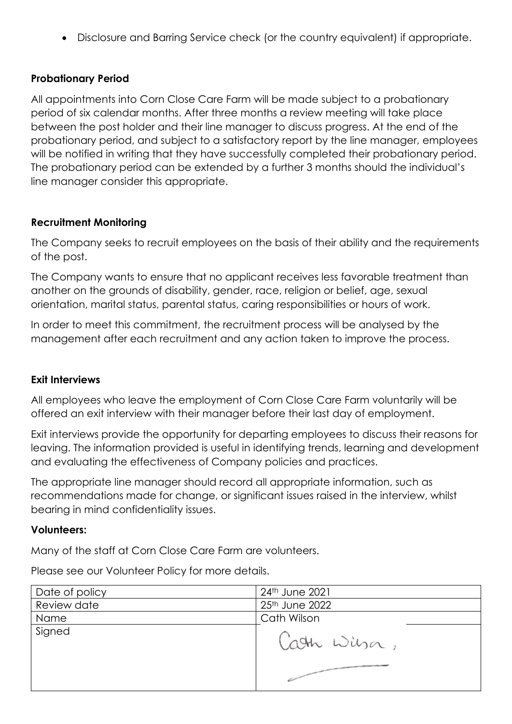• Disclosure and Barring Service check (or the country equivalent) if appropriate.

#### **Probationary Period**

All appointments into Corn Close Care Farm will be made subject to a probationary period of six calendar months. After three months a review meeting will take place between the post holder and their line manager to discuss progress. At the end of the probationary period, and subject to a satisfactory report by the line manager, employees will be notified in writing that they have successfully completed their probationary period. The probationary period can be extended by a further 3 months should the individual's line manager consider this appropriate.

#### **Recruitment Monitoring**

The Company seeks to recruit employees on the basis of their ability and the requirements of the post.

The Company wants to ensure that no applicant receives less favorable treatment than another on the grounds of disability, gender, race, religion or belief, age, sexual orientation, marital status, parental status, caring responsibilities or hours of work.

In order to meet this commitment, the recruitment process will be analysed by the management after each recruitment and any action taken to improve the process.

#### **Exit Interviews**

All employees who leave the employment of Corn Close Care Farm voluntarily will be offered an exit interview with their manager before their last day of employment.

Exit interviews provide the opportunity for departing employees to discuss their reasons for leaving. The information provided is useful in identifying trends, learning and development and evaluating the effectiveness of Company policies and practices.

The appropriate line manager should record all appropriate information, such as recommendations made for change, or significant issues raised in the interview, whilst bearing in mind confidentiality issues.

#### **Volunteers:**

Many of the staff at Corn Close Care Farm are volunteers.

Date of policy 24th June 2021 Review date 2022 Name Cath Wilson Signedath Wilson,

Please see our Volunteer Policy for more details.